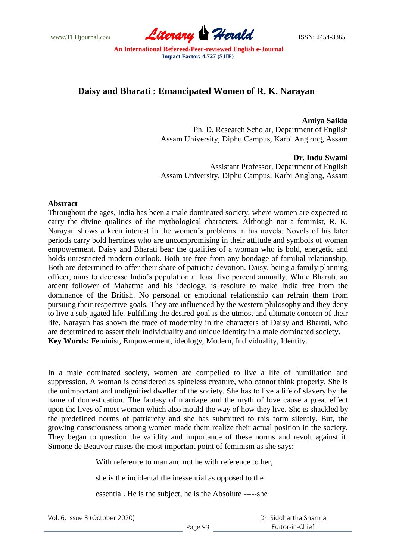www.TLHjournal.com **Literary Herald Herald ISSN: 2454-3365** 

## **Daisy and Bharati : Emancipated Women of R. K. Narayan**

**Amiya Saikia** Ph. D. Research Scholar, Department of English Assam University, Diphu Campus, Karbi Anglong, Assam

 **Dr. Indu Swami** Assistant Professor, Department of English Assam University, Diphu Campus, Karbi Anglong, Assam

## **Abstract**

Throughout the ages, India has been a male dominated society, where women are expected to carry the divine qualities of the mythological characters. Although not a feminist, R. K. Narayan shows a keen interest in the women"s problems in his novels. Novels of his later periods carry bold heroines who are uncompromising in their attitude and symbols of woman empowerment. Daisy and Bharati bear the qualities of a woman who is bold, energetic and holds unrestricted modern outlook. Both are free from any bondage of familial relationship. Both are determined to offer their share of patriotic devotion. Daisy, being a family planning officer, aims to decrease India"s population at least five percent annually. While Bharati, an ardent follower of Mahatma and his ideology, is resolute to make India free from the dominance of the British. No personal or emotional relationship can refrain them from pursuing their respective goals. They are influenced by the western philosophy and they deny to live a subjugated life. Fulfilling the desired goal is the utmost and ultimate concern of their life. Narayan has shown the trace of modernity in the characters of Daisy and Bharati, who are determined to assert their individuality and unique identity in a male dominated society. **Key Words:** Feminist, Empowerment, ideology, Modern, Individuality, Identity.

In a male dominated society, women are compelled to live a life of humiliation and suppression. A woman is considered as spineless creature, who cannot think properly. She is the unimportant and undignified dweller of the society. She has to live a life of slavery by the name of domestication. The fantasy of marriage and the myth of love cause a great effect upon the lives of most women which also mould the way of how they live. She is shackled by the predefined norms of patriarchy and she has submitted to this form silently. But, the growing consciousness among women made them realize their actual position in the society. They began to question the validity and importance of these norms and revolt against it. Simone de Beauvoir raises the most important point of feminism as she says:

With reference to man and not he with reference to her,

she is the incidental the inessential as opposed to the

essential. He is the subject, he is the Absolute -----she

|  | Vol. 6, Issue 3 (October 2020) |
|--|--------------------------------|
|--|--------------------------------|

 Dr. Siddhartha Sharma Editor-in-Chief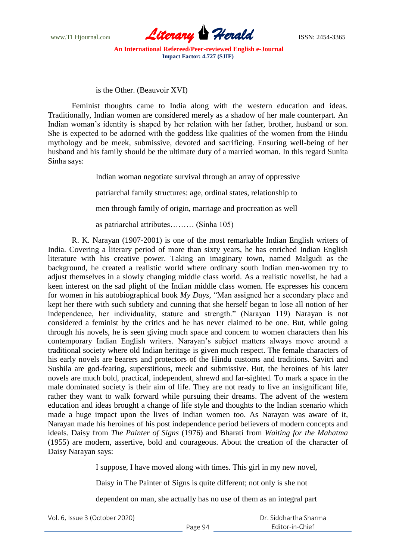

is the Other. (Beauvoir XVI)

Feminist thoughts came to India along with the western education and ideas. Traditionally, Indian women are considered merely as a shadow of her male counterpart. An Indian woman"s identity is shaped by her relation with her father, brother, husband or son. She is expected to be adorned with the goddess like qualities of the women from the Hindu mythology and be meek, submissive, devoted and sacrificing. Ensuring well-being of her husband and his family should be the ultimate duty of a married woman. In this regard Sunita Sinha says:

Indian woman negotiate survival through an array of oppressive

patriarchal family structures: age, ordinal states, relationship to

men through family of origin, marriage and procreation as well

as patriarchal attributes……… (Sinha 105)

R. K. Narayan (1907-2001) is one of the most remarkable Indian English writers of India. Covering a literary period of more than sixty years, he has enriched Indian English literature with his creative power. Taking an imaginary town, named Malgudi as the background, he created a realistic world where ordinary south Indian men-women try to adjust themselves in a slowly changing middle class world. As a realistic novelist, he had a keen interest on the sad plight of the Indian middle class women. He expresses his concern for women in his autobiographical book *My Days*, "Man assigned her a secondary place and kept her there with such subtlety and cunning that she herself began to lose all notion of her independence, her individuality, stature and strength." (Narayan 119) Narayan is not considered a feminist by the critics and he has never claimed to be one. But, while going through his novels, he is seen giving much space and concern to women characters than his contemporary Indian English writers. Narayan"s subject matters always move around a traditional society where old Indian heritage is given much respect. The female characters of his early novels are bearers and protectors of the Hindu customs and traditions. Savitri and Sushila are god-fearing, superstitious, meek and submissive. But, the heroines of his later novels are much bold, practical, independent, shrewd and far-sighted. To mark a space in the male dominated society is their aim of life. They are not ready to live an insignificant life, rather they want to walk forward while pursuing their dreams. The advent of the western education and ideas brought a change of life style and thoughts to the Indian scenario which made a huge impact upon the lives of Indian women too. As Narayan was aware of it, Narayan made his heroines of his post independence period believers of modern concepts and ideals. Daisy from *The Painter of Signs* (1976) and Bharati from *Waiting for the Mahatma* (1955) are modern, assertive, bold and courageous. About the creation of the character of Daisy Narayan says:

I suppose, I have moved along with times. This girl in my new novel,

Daisy in The Painter of Signs is quite different; not only is she not

dependent on man, she actually has no use of them as an integral part

|  | Vol. 6, Issue 3 (October 2020) |
|--|--------------------------------|
|--|--------------------------------|

| Dr. Siddhartha Sharma |
|-----------------------|
| Fditor-in-Chief       |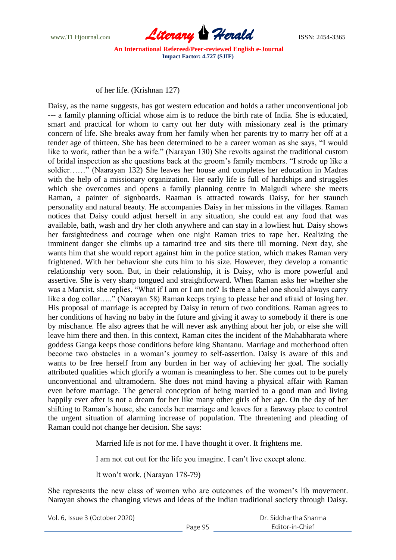

of her life. (Krishnan 127)

Daisy, as the name suggests, has got western education and holds a rather unconventional job --- a family planning official whose aim is to reduce the birth rate of India. She is educated, smart and practical for whom to carry out her duty with missionary zeal is the primary concern of life. She breaks away from her family when her parents try to marry her off at a tender age of thirteen. She has been determined to be a career woman as she says, "I would like to work, rather than be a wife." (Narayan 130) She revolts against the traditional custom of bridal inspection as she questions back at the groom"s family members. "I strode up like a soldier……" (Naarayan 132) She leaves her house and completes her education in Madras with the help of a missionary organization. Her early life is full of hardships and struggles which she overcomes and opens a family planning centre in Malgudi where she meets Raman, a painter of signboards. Raaman is attracted towards Daisy, for her staunch personality and natural beauty. He accompanies Daisy in her missions in the villages. Raman notices that Daisy could adjust herself in any situation, she could eat any food that was available, bath, wash and dry her cloth anywhere and can stay in a lowliest hut. Daisy shows her farsightedness and courage when one night Raman tries to rape her. Realizing the imminent danger she climbs up a tamarind tree and sits there till morning. Next day, she wants him that she would report against him in the police station, which makes Raman very frightened. With her behaviour she cuts him to his size. However, they develop a romantic relationship very soon. But, in their relationship, it is Daisy, who is more powerful and assertive. She is very sharp tongued and straightforward. When Raman asks her whether she was a Marxist, she replies, "What if I am or I am not? Is there a label one should always carry like a dog collar….." (Narayan 58) Raman keeps trying to please her and afraid of losing her. His proposal of marriage is accepted by Daisy in return of two conditions. Raman agrees to her conditions of having no baby in the future and giving it away to somebody if there is one by mischance. He also agrees that he will never ask anything about her job, or else she will leave him there and then. In this context, Raman cites the incident of the Mahabharata where goddess Ganga keeps those conditions before king Shantanu. Marriage and motherhood often become two obstacles in a woman"s journey to self-assertion. Daisy is aware of this and wants to be free herself from any burden in her way of achieving her goal. The socially attributed qualities which glorify a woman is meaningless to her. She comes out to be purely unconventional and ultramodern. She does not mind having a physical affair with Raman even before marriage. The general conception of being married to a good man and living happily ever after is not a dream for her like many other girls of her age. On the day of her shifting to Raman"s house, she cancels her marriage and leaves for a faraway place to control the urgent situation of alarming increase of population. The threatening and pleading of Raman could not change her decision. She says:

Married life is not for me. I have thought it over. It frightens me.

I am not cut out for the life you imagine. I can"t live except alone.

It won"t work. (Narayan 178-79)

She represents the new class of women who are outcomes of the women"s lib movement. Narayan shows the changing views and ideas of the Indian traditional society through Daisy.

Vol. 6, Issue 3 (October 2020)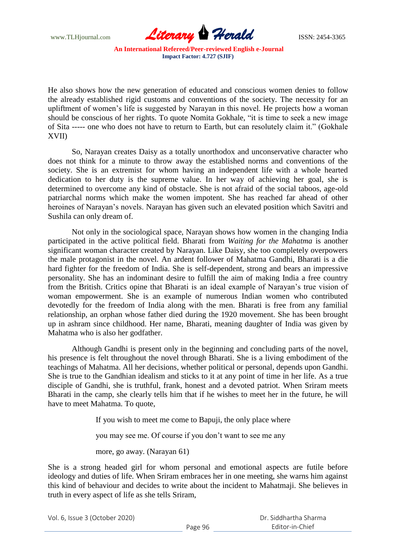

He also shows how the new generation of educated and conscious women denies to follow the already established rigid customs and conventions of the society. The necessity for an upliftment of women"s life is suggested by Narayan in this novel. He projects how a woman should be conscious of her rights. To quote Nomita Gokhale, "it is time to seek a new image of Sita ----- one who does not have to return to Earth, but can resolutely claim it." (Gokhale XVII)

So, Narayan creates Daisy as a totally unorthodox and unconservative character who does not think for a minute to throw away the established norms and conventions of the society. She is an extremist for whom having an independent life with a whole hearted dedication to her duty is the supreme value. In her way of achieving her goal, she is determined to overcome any kind of obstacle. She is not afraid of the social taboos, age-old patriarchal norms which make the women impotent. She has reached far ahead of other heroines of Narayan"s novels. Narayan has given such an elevated position which Savitri and Sushila can only dream of.

Not only in the sociological space, Narayan shows how women in the changing India participated in the active political field. Bharati from *Waiting for the Mahatma* is another significant woman character created by Narayan. Like Daisy, she too completely overpowers the male protagonist in the novel. An ardent follower of Mahatma Gandhi, Bharati is a die hard fighter for the freedom of India. She is self-dependent, strong and bears an impressive personality. She has an indominant desire to fulfill the aim of making India a free country from the British. Critics opine that Bharati is an ideal example of Narayan"s true vision of woman empowerment. She is an example of numerous Indian women who contributed devotedly for the freedom of India along with the men. Bharati is free from any familial relationship, an orphan whose father died during the 1920 movement. She has been brought up in ashram since childhood. Her name, Bharati, meaning daughter of India was given by Mahatma who is also her godfather.

Although Gandhi is present only in the beginning and concluding parts of the novel, his presence is felt throughout the novel through Bharati. She is a living embodiment of the teachings of Mahatma. All her decisions, whether political or personal, depends upon Gandhi. She is true to the Gandhian idealism and sticks to it at any point of time in her life. As a true disciple of Gandhi, she is truthful, frank, honest and a devoted patriot. When Sriram meets Bharati in the camp, she clearly tells him that if he wishes to meet her in the future, he will have to meet Mahatma. To quote,

If you wish to meet me come to Bapuji, the only place where

you may see me. Of course if you don"t want to see me any

more, go away. (Narayan 61)

She is a strong headed girl for whom personal and emotional aspects are futile before ideology and duties of life. When Sriram embraces her in one meeting, she warns him against this kind of behaviour and decides to write about the incident to Mahatmaji. She believes in truth in every aspect of life as she tells Sriram,

Vol. 6, Issue 3 (October 2020)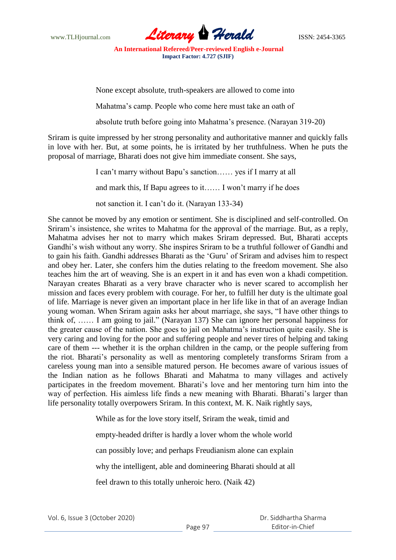

None except absolute, truth-speakers are allowed to come into

Mahatma"s camp. People who come here must take an oath of

absolute truth before going into Mahatma"s presence. (Narayan 319-20)

Sriram is quite impressed by her strong personality and authoritative manner and quickly falls in love with her. But, at some points, he is irritated by her truthfulness. When he puts the proposal of marriage, Bharati does not give him immediate consent. She says,

> I can"t marry without Bapu"s sanction…… yes if I marry at all and mark this, If Bapu agrees to it…… I won"t marry if he does not sanction it. I can"t do it. (Narayan 133-34)

She cannot be moved by any emotion or sentiment. She is disciplined and self-controlled. On Sriram"s insistence, she writes to Mahatma for the approval of the marriage. But, as a reply, Mahatma advises her not to marry which makes Sriram depressed. But, Bharati accepts Gandhi"s wish without any worry. She inspires Sriram to be a truthful follower of Gandhi and to gain his faith. Gandhi addresses Bharati as the "Guru" of Sriram and advises him to respect and obey her. Later, she confers him the duties relating to the freedom movement. She also teaches him the art of weaving. She is an expert in it and has even won a khadi competition. Narayan creates Bharati as a very brave character who is never scared to accomplish her mission and faces every problem with courage. For her, to fulfill her duty is the ultimate goal of life. Marriage is never given an important place in her life like in that of an average Indian young woman. When Sriram again asks her about marriage, she says, "I have other things to think of, …… I am going to jail." (Narayan 137) She can ignore her personal happiness for the greater cause of the nation. She goes to jail on Mahatma"s instruction quite easily. She is very caring and loving for the poor and suffering people and never tires of helping and taking care of them --- whether it is the orphan children in the camp, or the people suffering from the riot. Bharati"s personality as well as mentoring completely transforms Sriram from a careless young man into a sensible matured person. He becomes aware of various issues of the Indian nation as he follows Bharati and Mahatma to many villages and actively participates in the freedom movement. Bharati"s love and her mentoring turn him into the way of perfection. His aimless life finds a new meaning with Bharati. Bharati's larger than life personality totally overpowers Sriram. In this context, M. K. Naik rightly says,

> While as for the love story itself, Sriram the weak, timid and empty-headed drifter is hardly a lover whom the whole world can possibly love; and perhaps Freudianism alone can explain why the intelligent, able and domineering Bharati should at all feel drawn to this totally unheroic hero. (Naik 42)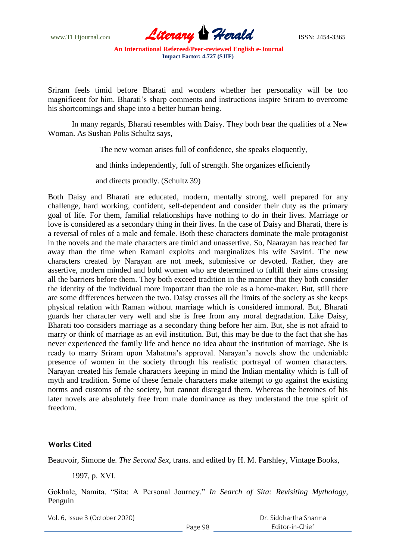www.TLHjournal.com **Literary Herald Herald ISSN: 2454-3365** 

Sriram feels timid before Bharati and wonders whether her personality will be too magnificent for him. Bharati's sharp comments and instructions inspire Sriram to overcome his shortcomings and shape into a better human being.

 In many regards, Bharati resembles with Daisy. They both bear the qualities of a New Woman. As Sushan Polis Schultz says,

The new woman arises full of confidence, she speaks eloquently,

and thinks independently, full of strength. She organizes efficiently

and directs proudly. (Schultz 39)

Both Daisy and Bharati are educated, modern, mentally strong, well prepared for any challenge, hard working, confident, self-dependent and consider their duty as the primary goal of life. For them, familial relationships have nothing to do in their lives. Marriage or love is considered as a secondary thing in their lives. In the case of Daisy and Bharati, there is a reversal of roles of a male and female. Both these characters dominate the male protagonist in the novels and the male characters are timid and unassertive. So, Naarayan has reached far away than the time when Ramani exploits and marginalizes his wife Savitri. The new characters created by Narayan are not meek, submissive or devoted. Rather, they are assertive, modern minded and bold women who are determined to fulfill their aims crossing all the barriers before them. They both exceed tradition in the manner that they both consider the identity of the individual more important than the role as a home-maker. But, still there are some differences between the two. Daisy crosses all the limits of the society as she keeps physical relation with Raman without marriage which is considered immoral. But, Bharati guards her character very well and she is free from any moral degradation. Like Daisy, Bharati too considers marriage as a secondary thing before her aim. But, she is not afraid to marry or think of marriage as an evil institution. But, this may be due to the fact that she has never experienced the family life and hence no idea about the institution of marriage. She is ready to marry Sriram upon Mahatma's approval. Narayan's novels show the undeniable presence of women in the society through his realistic portrayal of women characters. Narayan created his female characters keeping in mind the Indian mentality which is full of myth and tradition. Some of these female characters make attempt to go against the existing norms and customs of the society, but cannot disregard them. Whereas the heroines of his later novels are absolutely free from male dominance as they understand the true spirit of freedom.

## **Works Cited**

Beauvoir, Simone de. *The Second Sex*, trans. and edited by H. M. Parshley, Vintage Books,

1997, p. XVI.

Gokhale, Namita. "Sita: A Personal Journey." *In Search of Sita: Revisiting Mythology*, Penguin

Vol. 6, Issue 3 (October 2020)

 Dr. Siddhartha Sharma Editor-in-Chief